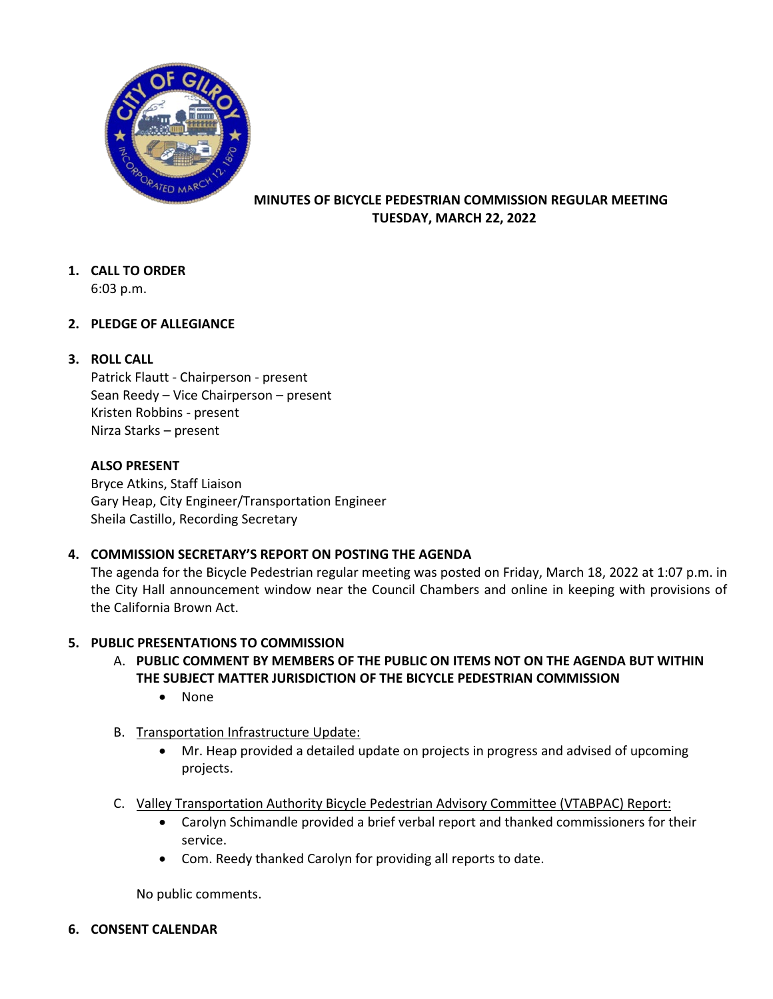

### **MINUTES OF BICYCLE PEDESTRIAN COMMISSION REGULAR MEETING TUESDAY, MARCH 22, 2022**

# **1. CALL TO ORDER**

6:03 p.m.

# **2. PLEDGE OF ALLEGIANCE**

# **3. ROLL CALL**

Patrick Flautt - Chairperson - present Sean Reedy – Vice Chairperson – present Kristen Robbins - present Nirza Starks – present

### **ALSO PRESENT**

Bryce Atkins, Staff Liaison Gary Heap, City Engineer/Transportation Engineer Sheila Castillo, Recording Secretary

# **4. COMMISSION SECRETARY'S REPORT ON POSTING THE AGENDA**

The agenda for the Bicycle Pedestrian regular meeting was posted on Friday, March 18, 2022 at 1:07 p.m. in the City Hall announcement window near the Council Chambers and online in keeping with provisions of the California Brown Act.

# **5. PUBLIC PRESENTATIONS TO COMMISSION**

- A. **PUBLIC COMMENT BY MEMBERS OF THE PUBLIC ON ITEMS NOT ON THE AGENDA BUT WITHIN THE SUBJECT MATTER JURISDICTION OF THE BICYCLE PEDESTRIAN COMMISSION** 
	- None
- B. Transportation Infrastructure Update:
	- Mr. Heap provided a detailed update on projects in progress and advised of upcoming projects.
- C. Valley Transportation Authority Bicycle Pedestrian Advisory Committee (VTABPAC) Report:
	- Carolyn Schimandle provided a brief verbal report and thanked commissioners for their service.
	- Com. Reedy thanked Carolyn for providing all reports to date.

No public comments.

# **6. CONSENT CALENDAR**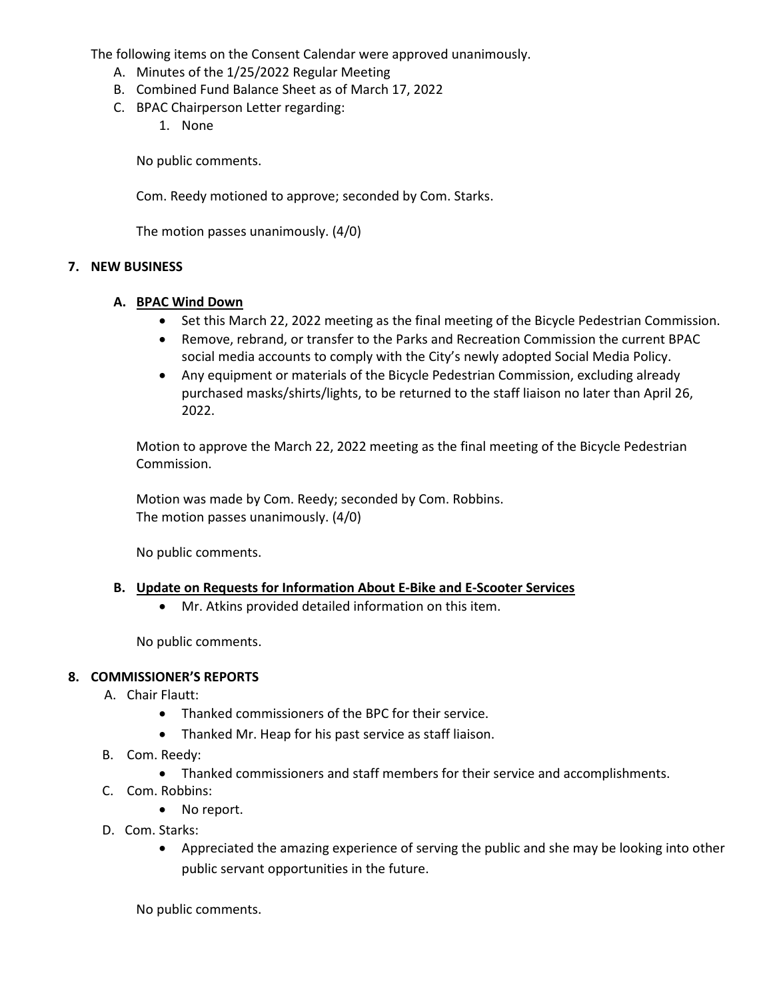The following items on the Consent Calendar were approved unanimously.

- A. Minutes of the 1/25/2022 Regular Meeting
- B. Combined Fund Balance Sheet as of March 17, 2022
- C. BPAC Chairperson Letter regarding:
	- 1. None

No public comments.

Com. Reedy motioned to approve; seconded by Com. Starks.

The motion passes unanimously. (4/0)

#### **7. NEW BUSINESS**

#### **A. BPAC Wind Down**

- Set this March 22, 2022 meeting as the final meeting of the Bicycle Pedestrian Commission.
- Remove, rebrand, or transfer to the Parks and Recreation Commission the current BPAC social media accounts to comply with the City's newly adopted Social Media Policy.
- Any equipment or materials of the Bicycle Pedestrian Commission, excluding already purchased masks/shirts/lights, to be returned to the staff liaison no later than April 26, 2022.

Motion to approve the March 22, 2022 meeting as the final meeting of the Bicycle Pedestrian Commission.

Motion was made by Com. Reedy; seconded by Com. Robbins. The motion passes unanimously. (4/0)

No public comments.

#### **B. Update on Requests for Information About E-Bike and E-Scooter Services**

• Mr. Atkins provided detailed information on this item.

No public comments.

#### **8. COMMISSIONER'S REPORTS**

- A. Chair Flautt:
	- Thanked commissioners of the BPC for their service.
	- Thanked Mr. Heap for his past service as staff liaison.
- B. Com. Reedy:
	- Thanked commissioners and staff members for their service and accomplishments.
- C. Com. Robbins:
	- No report.
- D. Com. Starks:
	- Appreciated the amazing experience of serving the public and she may be looking into other public servant opportunities in the future.

No public comments.